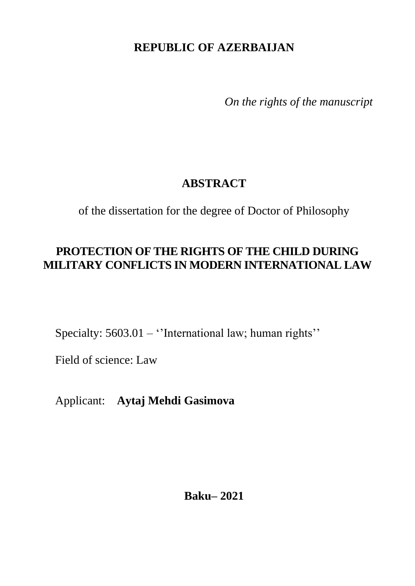# **REPUBLIC OF AZERBAIJAN**

*On the rights of the manuscript* 

## **ABSTRACT**

of the dissertation for the degree of Doctor of Philosophy

### **PROTECTION OF THE RIGHTS OF THE CHILD DURING MILITARY CONFLICTS IN MODERN INTERNATIONAL LAW**

Specialty: 5603.01 – "International law; human rights"

Field of science: Law

Applicant: **Aytaj Mehdi Gasimova**

### **Baku– 2021**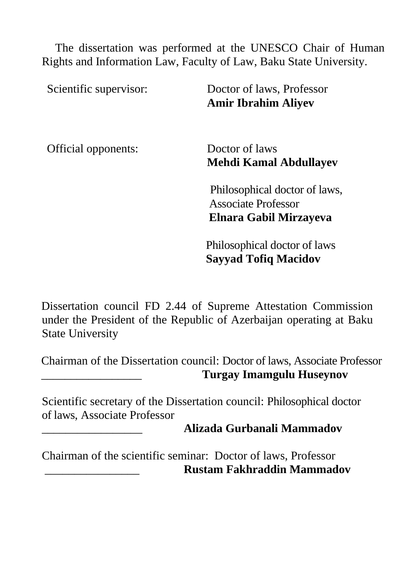The dissertation was performed at the UNESCO Chair of Human Rights and Information Law, Faculty of Law, Baku State University.

Scientific supervisor: Doctor of laws, Professor **Amir Ibrahim Aliyev**

Official opponents: Doctor of laws

**Mehdi Kamal Abdullayev**

 Philosophical doctor of laws, Associate Professor **Elnara Gabil Mirzayeva**

Philosophical doctor of laws **Sayyad Tofiq Macidov**

Dissertation council FD 2.44 of Supreme Attestation Commission under the President of the Republic of Azerbaijan operating at Baku State University

Chairman of the Dissertation council: Doctor of laws, Associate Professor **Turgay Imamgulu Huseynov** 

Scientific secretary of the Dissertation council: Philosophical doctor of laws, Associate Professor

#### \_\_\_\_\_\_\_\_\_\_\_\_\_\_\_\_\_ **Alizada Gurbanali Mammadov**

Chairman of the scientific seminar: Doctor of laws, Professor \_\_\_\_\_\_\_\_\_\_\_\_\_\_\_\_ **Rustam Fakhraddin Mammadov**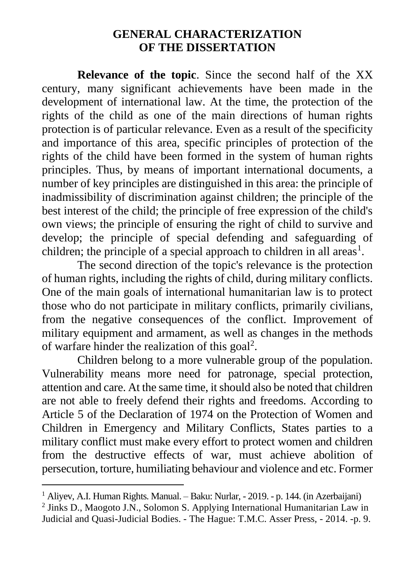### **GENERAL CHARACTERIZATION OF THE DISSERTATION**

**Relevance of the topic**. Since the second half of the XX century, many significant achievements have been made in the development of international law. At the time, the protection of the rights of the child as one of the main directions of human rights protection is of particular relevance. Even as a result of the specificity and importance of this area, specific principles of protection of the rights of the child have been formed in the system of human rights principles. Thus, by means of important international documents, a number of key principles are distinguished in this area: the principle of inadmissibility of discrimination against children; the principle of the best interest of the child; the principle of free expression of the child's own views; the principle of ensuring the right of child to survive and develop; the principle of special defending and safeguarding of children; the principle of a special approach to children in all areas<sup>1</sup>.

The second direction of the topic's relevance is the protection of human rights, including the rights of child, during military conflicts. One of the main goals of international humanitarian law is to protect those who do not participate in military conflicts, primarily civilians, from the negative consequences of the conflict. Improvement of military equipment and armament, as well as changes in the methods of warfare hinder the realization of this goal<sup>2</sup>.

Children belong to a more vulnerable group of the population. Vulnerability means more need for patronage, special protection, attention and care. At the same time, it should also be noted that children are not able to freely defend their rights and freedoms. According to Article 5 of the Declaration of 1974 on the Protection of Women and Children in Emergency and Military Conflicts, States parties to a military conflict must make every effort to protect women and children from the destructive effects of war, must achieve abolition of persecution, torture, humiliating behaviour and violence and etc. Former

<sup>&</sup>lt;sup>1</sup> Alivev, A.I. Human Rights. Manual. – Baku: Nurlar, - 2019. - p. 144. (in Azerbaijani)

<sup>&</sup>lt;sup>2</sup> Jinks D., Maogoto J.N., Solomon S. Applying International Humanitarian Law in Judicial and Quasi-Judicial Bodies. - The Hague: T.M.C. Asser Press, - 2014. -p. 9.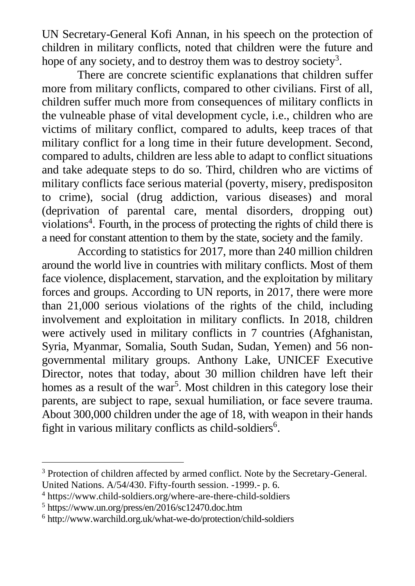UN Secretary-General Kofi Annan, in his speech on the protection of children in military conflicts, noted that children were the future and hope of any society, and to destroy them was to destroy society<sup>3</sup>.

There are concrete scientific explanations that children suffer more from military conflicts, compared to other civilians. First of all, children suffer much more from consequences of military conflicts in the vulneable phase of vital development cycle, i.e., children who are victims of military conflict, compared to adults, keep traces of that military conflict for a long time in their future development. Second, compared to adults, children are less able to adapt to conflict situations and take adequate steps to do so. Third, children who are victims of military conflicts face serious material (poverty, misery, predispositon to crime), social (drug addiction, various diseases) and moral (deprivation of parental care, mental disorders, dropping out) violations<sup>4</sup>. Fourth, in the process of protecting the rights of child there is a need for constant attention to them by the state, society and the family.

According to statistics for 2017, more than 240 million children around the world live in countries with military conflicts. Most of them face violence, displacement, starvation, and the exploitation by military forces and groups. According to UN reports, in 2017, there were more than 21,000 serious violations of the rights of the child, including involvement and exploitation in military conflicts. In 2018, children were actively used in military conflicts in 7 countries (Afghanistan, Syria, Myanmar, Somalia, South Sudan, Sudan, Yemen) and 56 nongovernmental military groups. Anthony Lake, UNICEF Executive Director, notes that today, about 30 million children have left their homes as a result of the war<sup>5</sup>. Most children in this category lose their parents, are subject to rape, sexual humiliation, or face severe trauma. About 300,000 children under the age of 18, with weapon in their hands fight in various military conflicts as child-soldiers<sup>6</sup>.

<sup>&</sup>lt;sup>3</sup> Protection of children affected by armed conflict. Note by the Secretary-General. United Nations. A/54/430. Fifty-fourth session. -1999.- p. 6.

<sup>4</sup> <https://www.child-soldiers.org/where-are-there-child-soldiers>

<sup>5</sup> <https://www.un.org/press/en/2016/sc12470.doc.htm>

<sup>6</sup> <http://www.warchild.org.uk/what-we-do/protection/child-soldiers>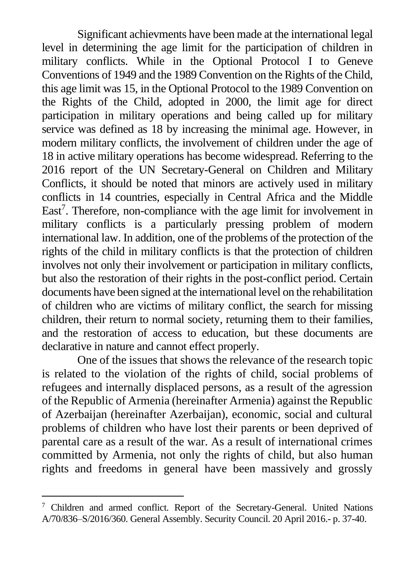Significant achievments have been made at the international legal level in determining the age limit for the participation of children in military conflicts. While in the Optional Protocol I to Geneve Conventions of 1949 and the 1989 Convention on the Rights of the Child, this age limit was 15, in the Optional Protocol to the 1989 Convention on the Rights of the Child, adopted in 2000, the limit age for direct participation in military operations and being called up for military service was defined as 18 by increasing the minimal age. However, in modern military conflicts, the involvement of children under the age of 18 in active military operations has become widespread. Referring to the 2016 report of the UN Secretary-General on Children and Military Conflicts, it should be noted that minors are actively used in military conflicts in 14 countries, especially in Central Africa and the Middle East<sup>7</sup>. Therefore, non-compliance with the age limit for involvement in military conflicts is a particularly pressing problem of modern international law. In addition, one of the problems of the protection of the rights of the child in military conflicts is that the protection of children involves not only their involvement or participation in military conflicts, but also the restoration of their rights in the post-conflict period. Certain documents have been signed at the international level on the rehabilitation of children who are victims of military conflict, the search for missing children, their return to normal society, returning them to their families, and the restoration of access to education, but these documents are declarative in nature and cannot effect properly.

One of the issues that shows the relevance of the research topic is related to the violation of the rights of child, social problems of refugees and internally displaced persons, as a result of the agression of the Republic of Armenia (hereinafter Armenia) against the Republic of Azerbaijan (hereinafter Azerbaijan), economic, social and cultural problems of children who have lost their parents or been deprived of parental care as a result of the war. As a result of international crimes committed by Armenia, not only the rights of child, but also human rights and freedoms in general have been massively and grossly

<sup>7</sup> Children and armed conflict. Report of the Secretary-General. United Nations A/70/836–S/2016/360. General Assembly. Security Council. 20 April 2016.- p. 37-40.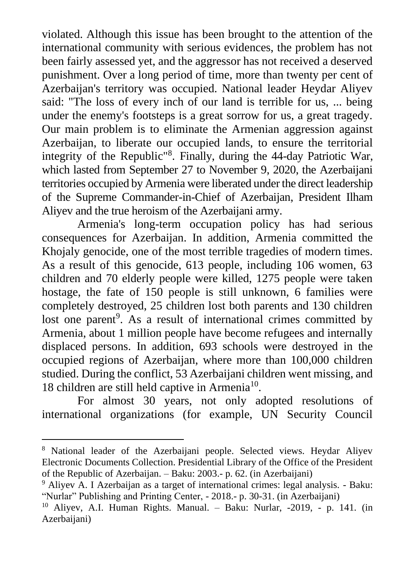violated. Although this issue has been brought to the attention of the international community with serious evidences, the problem has not been fairly assessed yet, and the aggressor has not received a deserved punishment. Over a long period of time, more than twenty per cent of Azerbaijan's territory was occupied. National leader Heydar Aliyev said: "The loss of every inch of our land is terrible for us, ... being under the enemy's footsteps is a great sorrow for us, a great tragedy. Our main problem is to eliminate the Armenian aggression against Azerbaijan, to liberate our occupied lands, to ensure the territorial integrity of the Republic<sup>"8</sup>. Finally, during the 44-day Patriotic War, which lasted from September 27 to November 9, 2020, the Azerbaijani territories occupied by Armenia were liberated under the direct leadership of the Supreme Commander-in-Chief of Azerbaijan, President Ilham Aliyev and the true heroism of the Azerbaijani army.

Armenia's long-term occupation policy has had serious consequences for Azerbaijan. In addition, Armenia committed the Khojaly genocide, one of the most terrible tragedies of modern times. As a result of this genocide, 613 people, including 106 women, 63 children and 70 elderly people were killed, 1275 people were taken hostage, the fate of 150 people is still unknown, 6 families were completely destroyed, 25 children lost both parents and 130 children lost one parent<sup>9</sup>. As a result of international crimes committed by Armenia, about 1 million people have become refugees and internally displaced persons. In addition, 693 schools were destroyed in the occupied regions of Azerbaijan, where more than 100,000 children studied. During the conflict, 53 Azerbaijani children went missing, and 18 children are still held captive in Armenia<sup>10</sup>.

For almost 30 years, not only adopted resolutions of international organizations (for example, UN Security Council

<sup>8</sup> National leader of the Azerbaijani people. Selected views. Heydar Aliyev Electronic Documents Collection. Presidential Library of the Office of the President of the Republic of Azerbaijan. – Baku: 2003.- p. 62. (in Azerbaijani)

<sup>9</sup> Aliyev A. I Azerbaijan as a target of international crimes: legal analysis. - Baku: "Nurlar" Publishing and Printing Center, - 2018.- p. 30-31. (in Azerbaijani)

<sup>10</sup> Aliyev, A.I. Human Rights. Manual. – Baku: Nurlar, -2019, - p. 141. (in Azerbaijani)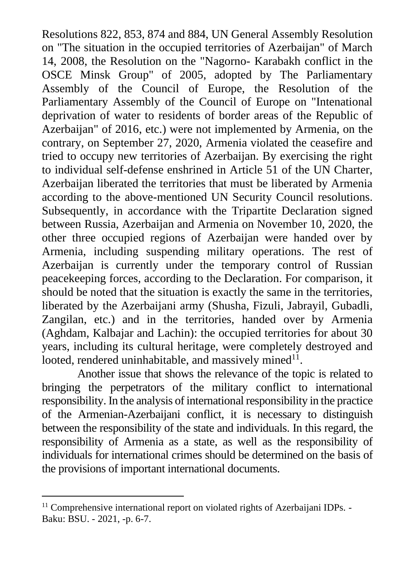Resolutions 822, 853, 874 and 884, UN General Assembly Resolution on "The situation in the occupied territories of Azerbaijan" of March 14, 2008, the Resolution on the "Nagorno- Karabakh conflict in the OSCE Minsk Group" of 2005, adopted by The Parliamentary Assembly of the Council of Europe, the Resolution of the Parliamentary Assembly of the Council of Europe on "Intenational deprivation of water to residents of border areas of the Republic of Azerbaijan" of 2016, etc.) were not implemented by Armenia, on the contrary, on September 27, 2020, Armenia violated the ceasefire and tried to occupy new territories of Azerbaijan. By exercising the right to individual self-defense enshrined in Article 51 of the UN Charter, Azerbaijan liberated the territories that must be liberated by Armenia according to the above-mentioned UN Security Council resolutions. Subsequently, in accordance with the Tripartite Declaration signed between Russia, Azerbaijan and Armenia on November 10, 2020, the other three occupied regions of Azerbaijan were handed over by Armenia, including suspending military operations. The rest of Azerbaijan is currently under the temporary control of Russian peacekeeping forces, according to the Declaration. For comparison, it should be noted that the situation is exactly the same in the territories, liberated by the Azerbaijani army (Shusha, Fizuli, Jabrayil, Gubadli, Zangilan, etc.) and in the territories, handed over by Armenia (Aghdam, Kalbajar and Lachin): the occupied territories for about 30 years, including its cultural heritage, were completely destroyed and looted, rendered uninhabitable, and massively mined $11$ .

Another issue that shows the relevance of the topic is related to bringing the perpetrators of the military conflict to international responsibility. In the analysis of international responsibility in the practice of the Armenian-Azerbaijani conflict, it is necessary to distinguish between the responsibility of the state and individuals. In this regard, the responsibility of Armenia as a state, as well as the responsibility of individuals for international crimes should be determined on the basis of the provisions of important international documents.

<sup>&</sup>lt;sup>11</sup> Comprehensive international report on violated rights of Azerbaijani IDPs. -Baku: BSU. - 2021, -p. 6-7.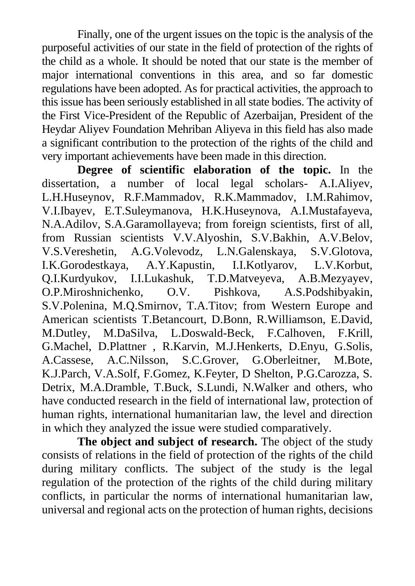Finally, one of the urgent issues on the topic is the analysis of the purposeful activities of our state in the field of protection of the rights of the child as a whole. It should be noted that our state is the member of major international conventions in this area, and so far domestic regulations have been adopted. As for practical activities, the approach to this issue has been seriously established in all state bodies. The activity of the First Vice-President of the Republic of Azerbaijan, President of the Heydar Aliyev Foundation Mehriban Aliyeva in this field has also made a significant contribution to the protection of the rights of the child and very important achievements have been made in this direction.

**Degree of scientific elaboration of the topic.** In the dissertation, a number of local legal scholars- A.I.Aliyev, L.H.Huseynov, R.F.Mammadov, R.K.Mammadov, I.M.Rahimov, V.I.Ibayev, E.T.Suleymanova, H.K.Huseynova, A.I.Mustafayeva, N.A.Adilov, S.A.Garamollayeva; from foreign scientists, first of all, from Russian scientists V.V.Alyoshin, S.V.Bakhin, A.V.Belov, V.S.Vereshetin, A.G.Volevodz, L.N.Galenskaya, S.V.Glotova, I.K.Gorodestkaya, A.Y.Kapustin, I.I.Kotlyarov, L.V.Korbut, Q.I.Kurdyukov, I.I.Lukashuk, T.D.Matveyeva, A.B.Mezyayev, O.P.Miroshnichenko, O.V. Pishkova, A.S.Podshibyakin, S.V.Polenina, M.Q.Smirnov, T.A.Titov; from Western Europe and American scientists T.Betancourt, D.Bonn, R.Williamson, E.David, M.Dutley, M.DaSilva, L.Doswald-Beck, F.Calhoven, F.Krill, G.Machel, D.Plattner , R.Karvin, M.J.Henkerts, D.Enyu, G.Solis, A.Cassese, A.C.Nilsson, S.C.Grover, G.Oberleitner, M.Bote, K.J.Parch, V.A.Solf, F.Gomez, K.Feyter, D Shelton, P.G.Carozza, S. Detrix, M.A.Dramble, T.Buck, S.Lundi, N.Walker and others, who have conducted research in the field of international law, protection of human rights, international humanitarian law, the level and direction in which they analyzed the issue were studied comparatively.

**The object and subject of research.** The object of the study consists of relations in the field of protection of the rights of the child during military conflicts. The subject of the study is the legal regulation of the protection of the rights of the child during military conflicts, in particular the norms of international humanitarian law, universal and regional acts on the protection of human rights, decisions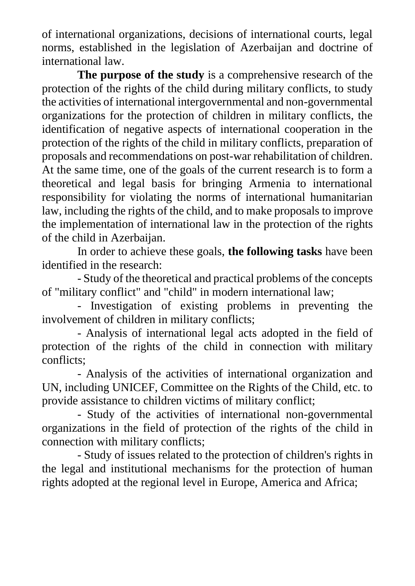of international organizations, decisions of international courts, legal norms, established in the legislation of Azerbaijan and doctrine of international law.

**The purpose of the study** is a comprehensive research of the protection of the rights of the child during military conflicts, to study the activities of international intergovernmental and non-governmental organizations for the protection of children in military conflicts, the identification of negative aspects of international cooperation in the protection of the rights of the child in military conflicts, preparation of proposals and recommendations on post-war rehabilitation of children. At the same time, one of the goals of the current research is to form a theoretical and legal basis for bringing Armenia to international responsibility for violating the norms of international humanitarian law, including the rights of the child, and to make proposals to improve the implementation of international law in the protection of the rights of the child in Azerbaijan.

In order to achieve these goals, **the following tasks** have been identified in the research:

- Study of the theoretical and practical problems of the concepts of "military conflict" and "child" in modern international law;

- Investigation of existing problems in preventing the involvement of children in military conflicts;

- Analysis of international legal acts adopted in the field of protection of the rights of the child in connection with military conflicts;

- Analysis of the activities of international organization and UN, including UNICEF, Committee on the Rights of the Child, etc. to provide assistance to children victims of military conflict;

- Study of the activities of international non-governmental organizations in the field of protection of the rights of the child in connection with military conflicts;

- Study of issues related to the protection of children's rights in the legal and institutional mechanisms for the protection of human rights adopted at the regional level in Europe, America and Africa;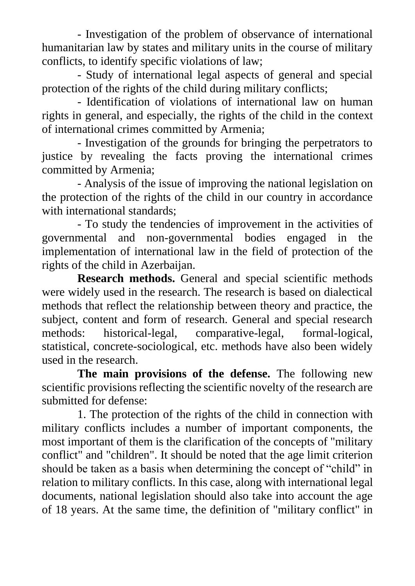- Investigation of the problem of observance of international humanitarian law by states and military units in the course of military conflicts, to identify specific violations of law;

- Study of international legal aspects of general and special protection of the rights of the child during military conflicts;

- Identification of violations of international law on human rights in general, and especially, the rights of the child in the context of international crimes committed by Armenia;

- Investigation of the grounds for bringing the perpetrators to justice by revealing the facts proving the international crimes committed by Armenia;

- Analysis of the issue of improving the national legislation on the protection of the rights of the child in our country in accordance with international standards:

- To study the tendencies of improvement in the activities of governmental and non-governmental bodies engaged in the implementation of international law in the field of protection of the rights of the child in Azerbaijan.

**Research methods.** General and special scientific methods were widely used in the research. The research is based on dialectical methods that reflect the relationship between theory and practice, the subject, content and form of research. General and special research methods: historical-legal, comparative-legal, formal-logical, statistical, concrete-sociological, etc. methods have also been widely used in the research.

**The main provisions of the defense.** The following new scientific provisions reflecting the scientific novelty of the research are submitted for defense:

1. The protection of the rights of the child in connection with military conflicts includes a number of important components, the most important of them is the clarification of the concepts of "military conflict" and "children". It should be noted that the age limit criterion should be taken as a basis when determining the concept of "child" in relation to military conflicts. In this case, along with international legal documents, national legislation should also take into account the age of 18 years. At the same time, the definition of "military conflict" in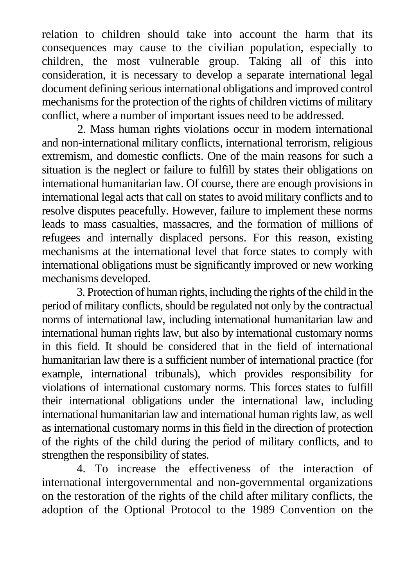relation to children should take into account the harm that its consequences may cause to the civilian population, especially to children, the most vulnerable group. Taking all of this into consideration, it is necessary to develop a separate international legal document defining serious international obligations and improved control mechanisms for the protection of the rights of children victims of military conflict, where a number of important issues need to be addressed.

2. Mass human rights violations occur in modern international and non-international military conflicts, international terrorism, religious extremism, and domestic conflicts. One of the main reasons for such a situation is the neglect or failure to fulfill by states their obligations on international humanitarian law. Of course, there are enough provisions in international legal acts that call on states to avoid military conflicts and to resolve disputes peacefully. However, failure to implement these norms leads to mass casualties, massacres, and the formation of millions of refugees and internally displaced persons. For this reason, existing mechanisms at the international level that force states to comply with international obligations must be significantly improved or new working mechanisms developed.

3. Protection of human rights, including the rights of the child in the period of military conflicts, should be regulated not only by the contractual norms of international law, including international humanitarian law and international human rights law, but also by international customary norms in this field. It should be considered that in the field of international humanitarian law there is a sufficient number of international practice (for example, international tribunals), which provides responsibility for violations of international customary norms. This forces states to fulfill their international obligations under the international law, including international humanitarian law and international human rights law, as well as international customary norms in this field in the direction of protection of the rights of the child during the period of military conflicts, and to strengthen the responsibility of states.

4. To increase the effectiveness of the interaction of international intergovernmental and non-governmental organizations on the restoration of the rights of the child after military conflicts, the adoption of the Optional Protocol to the 1989 Convention on the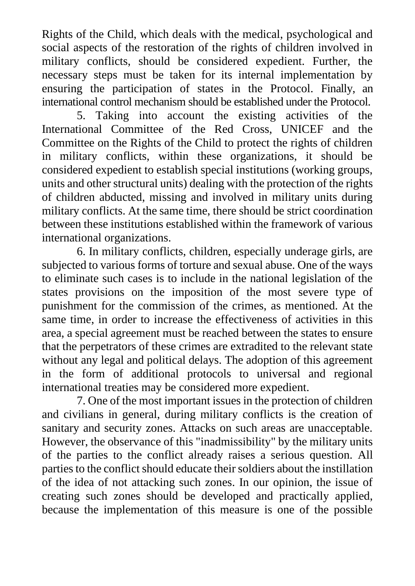Rights of the Child, which deals with the medical, psychological and social aspects of the restoration of the rights of children involved in military conflicts, should be considered expedient. Further, the necessary steps must be taken for its internal implementation by ensuring the participation of states in the Protocol. Finally, an international control mechanism should be established under the Protocol.

5. Taking into account the existing activities of the International Committee of the Red Cross, UNICEF and the Committee on the Rights of the Child to protect the rights of children in military conflicts, within these organizations, it should be considered expedient to establish special institutions (working groups, units and other structural units) dealing with the protection of the rights of children abducted, missing and involved in military units during military conflicts. At the same time, there should be strict coordination between these institutions established within the framework of various international organizations.

6. In military conflicts, children, especially underage girls, are subjected to various forms of torture and sexual abuse. One of the ways to eliminate such cases is to include in the national legislation of the states provisions on the imposition of the most severe type of punishment for the commission of the crimes, as mentioned. At the same time, in order to increase the effectiveness of activities in this area, a special agreement must be reached between the states to ensure that the perpetrators of these crimes are extradited to the relevant state without any legal and political delays. The adoption of this agreement in the form of additional protocols to universal and regional international treaties may be considered more expedient.

7. One of the most important issues in the protection of children and civilians in general, during military conflicts is the creation of sanitary and security zones. Attacks on such areas are unacceptable. However, the observance of this "inadmissibility" by the military units of the parties to the conflict already raises a serious question. All parties to the conflict should educate their soldiers about the instillation of the idea of not attacking such zones. In our opinion, the issue of creating such zones should be developed and practically applied, because the implementation of this measure is one of the possible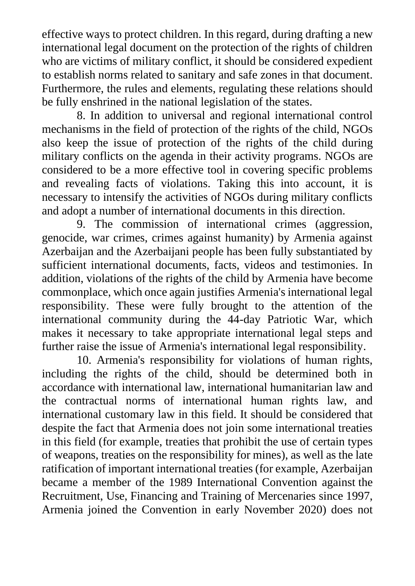effective ways to protect children. In this regard, during drafting a new international legal document on the protection of the rights of children who are victims of military conflict, it should be considered expedient to establish norms related to sanitary and safe zones in that document. Furthermore, the rules and elements, regulating these relations should be fully enshrined in the national legislation of the states.

8. In addition to universal and regional international control mechanisms in the field of protection of the rights of the child, NGOs also keep the issue of protection of the rights of the child during military conflicts on the agenda in their activity programs. NGOs are considered to be a more effective tool in covering specific problems and revealing facts of violations. Taking this into account, it is necessary to intensify the activities of NGOs during military conflicts and adopt a number of international documents in this direction.

9. The commission of international crimes (aggression, genocide, war crimes, crimes against humanity) by Armenia against Azerbaijan and the Azerbaijani people has been fully substantiated by sufficient international documents, facts, videos and testimonies. In addition, violations of the rights of the child by Armenia have become commonplace, which once again justifies Armenia's international legal responsibility. These were fully brought to the attention of the international community during the 44-day Patriotic War, which makes it necessary to take appropriate international legal steps and further raise the issue of Armenia's international legal responsibility.

10. Armenia's responsibility for violations of human rights, including the rights of the child, should be determined both in accordance with international law, international humanitarian law and the contractual norms of international human rights law, and international customary law in this field. It should be considered that despite the fact that Armenia does not join some international treaties in this field (for example, treaties that prohibit the use of certain types of weapons, treaties on the responsibility for mines), as well as the late ratification of important international treaties (for example, Azerbaijan became a member of the 1989 International Convention against the Recruitment, Use, Financing and Training of Mercenaries since 1997, Armenia joined the Convention in early November 2020) does not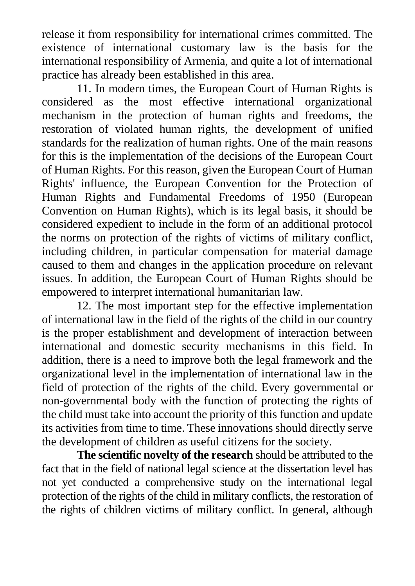release it from responsibility for international crimes committed. The existence of international customary law is the basis for the international responsibility of Armenia, and quite a lot of international practice has already been established in this area.

11. In modern times, the European Court of Human Rights is considered as the most effective international organizational mechanism in the protection of human rights and freedoms, the restoration of violated human rights, the development of unified standards for the realization of human rights. One of the main reasons for this is the implementation of the decisions of the European Court of Human Rights. For this reason, given the European Court of Human Rights' influence, the European Convention for the Protection of Human Rights and Fundamental Freedoms of 1950 (European Convention on Human Rights), which is its legal basis, it should be considered expedient to include in the form of an additional protocol the norms on protection of the rights of victims of military conflict, including children, in particular compensation for material damage caused to them and changes in the application procedure on relevant issues. In addition, the European Court of Human Rights should be empowered to interpret international humanitarian law.

12. The most important step for the effective implementation of international law in the field of the rights of the child in our country is the proper establishment and development of interaction between international and domestic security mechanisms in this field. In addition, there is a need to improve both the legal framework and the organizational level in the implementation of international law in the field of protection of the rights of the child. Every governmental or non-governmental body with the function of protecting the rights of the child must take into account the priority of this function and update its activities from time to time. These innovations should directly serve the development of children as useful citizens for the society.

**The scientific novelty of the research** should be attributed to the fact that in the field of national legal science at the dissertation level has not yet conducted a comprehensive study on the international legal protection of the rights of the child in military conflicts, the restoration of the rights of children victims of military conflict. In general, although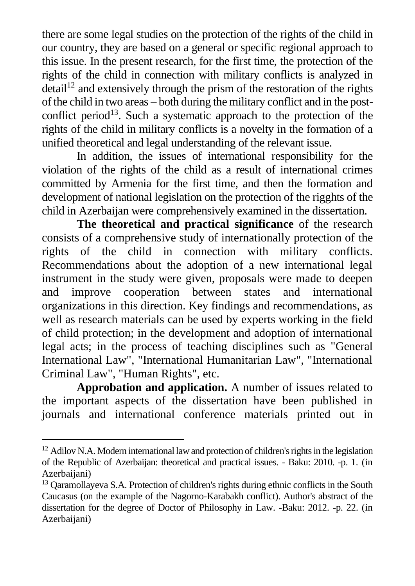there are some legal studies on the protection of the rights of the child in our country, they are based on a general or specific regional approach to this issue. In the present research, for the first time, the protection of the rights of the child in connection with military conflicts is analyzed in  $\delta$  detail<sup>12</sup> and extensively through the prism of the restoration of the rights of the child in two areas – both during the military conflict and in the postconflict period<sup>13</sup>. Such a systematic approach to the protection of the rights of the child in military conflicts is a novelty in the formation of a unified theoretical and legal understanding of the relevant issue.

In addition, the issues of international responsibility for the violation of the rights of the child as a result of international crimes committed by Armenia for the first time, and then the formation and development of national legislation on the protection of the rigghts of the child in Azerbaijan were comprehensively examined in the dissertation.

**The theoretical and practical significance** of the research consists of a comprehensive study of internationally protection of the rights of the child in connection with military conflicts. Recommendations about the adoption of a new international legal instrument in the study were given, proposals were made to deepen and improve cooperation between states and international organizations in this direction. Key findings and recommendations, as well as research materials can be used by experts working in the field of child protection; in the development and adoption of international legal acts; in the process of teaching disciplines such as "General International Law", "International Humanitarian Law", "International Criminal Law", "Human Rights", etc.

**Approbation and application.** A number of issues related to the important aspects of the dissertation have been published in journals and international conference materials printed out in

 $12$  Adilov N.A. Modern international law and protection of children's rights in the legislation of the Republic of Azerbaijan: theoretical and practical issues. - Baku: 2010. -p. 1. (in Azerbaijani)

<sup>&</sup>lt;sup>13</sup> Oaramollayeva S.A. Protection of children's rights during ethnic conflicts in the South Caucasus (on the example of the Nagorno-Karabakh conflict). Author's abstract of the dissertation for the degree of Doctor of Philosophy in Law. -Baku: 2012. -p. 22. (in Azerbaijani)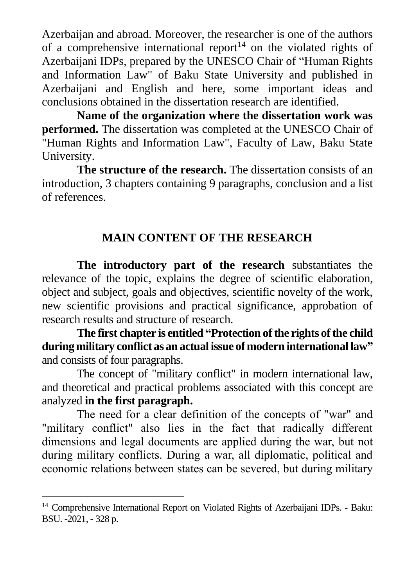Azerbaijan and abroad. Moreover, the researcher is one of the authors of a comprehensive international report<sup>14</sup> on the violated rights of Azerbaijani IDPs, prepared by the UNESCO Chair of "Human Rights and Information Law" of Baku State University and published in Azerbaijani and English and here, some important ideas and conclusions obtained in the dissertation research are identified.

**Name of the organization where the dissertation work was performed.** The dissertation was completed at the UNESCO Chair of "Human Rights and Information Law", Faculty of Law, Baku State University.

**The structure of the research.** The dissertation consists of an introduction, 3 chapters containing 9 paragraphs, conclusion and a list of references.

## **MAIN CONTENT OF THE RESEARCH**

**The introductory part of the research** substantiates the relevance of the topic, explains the degree of scientific elaboration, object and subject, goals and objectives, scientific novelty of the work, new scientific provisions and practical significance, approbation of research results and structure of research.

**The first chapter is entitled "Protection of the rights of the child during military conflict as an actual issue of modern international law"** and consists of four paragraphs.

The concept of "military conflict" in modern international law, and theoretical and practical problems associated with this concept are analyzed **in the first paragraph.**

The need for a clear definition of the concepts of "war" and "military conflict" also lies in the fact that radically different dimensions and legal documents are applied during the war, but not during military conflicts. During a war, all diplomatic, political and economic relations between states can be severed, but during military

<sup>&</sup>lt;sup>14</sup> Comprehensive International Report on Violated Rights of Azerbaijani IDPs. - Baku: BSU. -2021, - 328 p.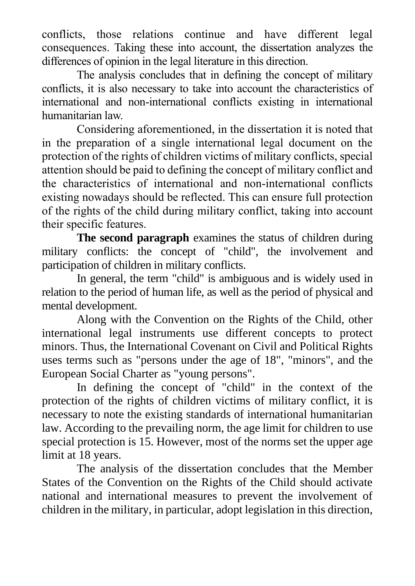conflicts, those relations continue and have different legal consequences. Taking these into account, the dissertation analyzes the differences of opinion in the legal literature in this direction.

The analysis concludes that in defining the concept of military conflicts, it is also necessary to take into account the characteristics of international and non-international conflicts existing in international humanitarian law.

Considering aforementioned, in the dissertation it is noted that in the preparation of a single international legal document on the protection of the rights of children victims of military conflicts, special attention should be paid to defining the concept of military conflict and the characteristics of international and non-international conflicts existing nowadays should be reflected. This can ensure full protection of the rights of the child during military conflict, taking into account their specific features.

**The second paragraph** examines the status of children during military conflicts: the concept of "child", the involvement and participation of children in military conflicts.

In general, the term "child" is ambiguous and is widely used in relation to the period of human life, as well as the period of physical and mental development.

Along with the Convention on the Rights of the Child, other international legal instruments use different concepts to protect minors. Thus, the International Covenant on Civil and Political Rights uses terms such as "persons under the age of 18", "minors", and the European Social Charter as "young persons".

In defining the concept of "child" in the context of the protection of the rights of children victims of military conflict, it is necessary to note the existing standards of international humanitarian law. According to the prevailing norm, the age limit for children to use special protection is 15. However, most of the norms set the upper age limit at 18 years.

The analysis of the dissertation concludes that the Member States of the Convention on the Rights of the Child should activate national and international measures to prevent the involvement of children in the military, in particular, adopt legislation in this direction,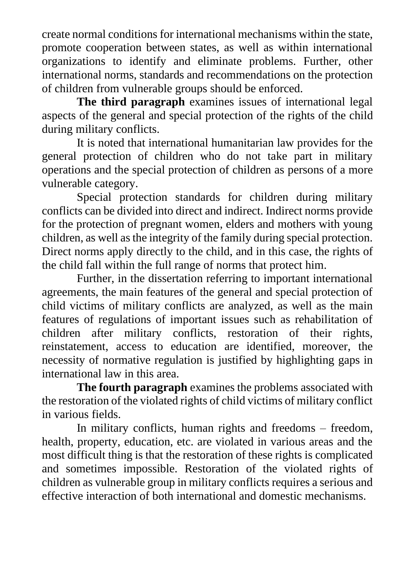create normal conditions for international mechanisms within the state, promote cooperation between states, as well as within international organizations to identify and eliminate problems. Further, other international norms, standards and recommendations on the protection of children from vulnerable groups should be enforced.

**The third paragraph** examines issues of international legal aspects of the general and special protection of the rights of the child during military conflicts.

It is noted that international humanitarian law provides for the general protection of children who do not take part in military operations and the special protection of children as persons of a more vulnerable category.

Special protection standards for children during military conflicts can be divided into direct and indirect. Indirect norms provide for the protection of pregnant women, elders and mothers with young children, as well as the integrity of the family during special protection. Direct norms apply directly to the child, and in this case, the rights of the child fall within the full range of norms that protect him.

Further, in the dissertation referring to important international agreements, the main features of the general and special protection of child victims of military conflicts are analyzed, as well as the main features of regulations of important issues such as rehabilitation of children after military conflicts, restoration of their rights, reinstatement, access to education are identified, moreover, the necessity of normative regulation is justified by highlighting gaps in international law in this area.

**The fourth paragraph** examines the problems associated with the restoration of the violated rights of child victims of military conflict in various fields.

In military conflicts, human rights and freedoms – freedom, health, property, education, etc. are violated in various areas and the most difficult thing is that the restoration of these rights is complicated and sometimes impossible. Restoration of the violated rights of children as vulnerable group in military conflicts requires a serious and effective interaction of both international and domestic mechanisms.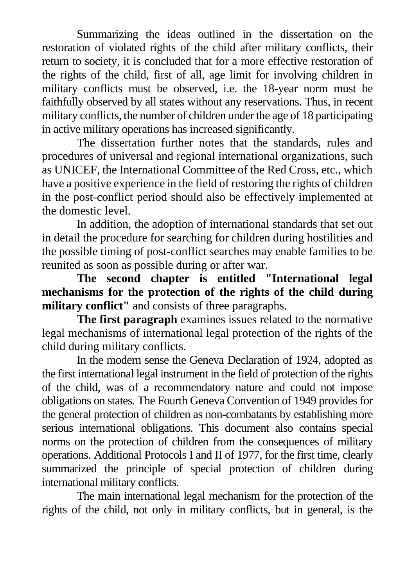Summarizing the ideas outlined in the dissertation on the restoration of violated rights of the child after military conflicts, their return to society, it is concluded that for a more effective restoration of the rights of the child, first of all, age limit for involving children in military conflicts must be observed, i.e. the 18-year norm must be faithfully observed by all states without any reservations. Thus, in recent military conflicts, the number of children under the age of 18 participating in active military operations has increased significantly.

The dissertation further notes that the standards, rules and procedures of universal and regional international organizations, such as UNICEF, the International Committee of the Red Cross, etc., which have a positive experience in the field of restoring the rights of children in the post-conflict period should also be effectively implemented at the domestic level.

In addition, the adoption of international standards that set out in detail the procedure for searching for children during hostilities and the possible timing of post-conflict searches may enable families to be reunited as soon as possible during or after war.

**The second chapter is entitled "International legal mechanisms for the protection of the rights of the child during military conflict"** and consists of three paragraphs.

**The first paragraph** examines issues related to the normative legal mechanisms of international legal protection of the rights of the child during military conflicts.

In the modern sense the Geneva Declaration of 1924, adopted as the first international legal instrument in the field of protection of the rights of the child, was of a recommendatory nature and could not impose obligations on states. The Fourth Geneva Convention of 1949 provides for the general protection of children as non-combatants by establishing more serious international obligations. This document also contains special norms on the protection of children from the consequences of military operations. Additional Protocols I and II of 1977, for the first time, clearly summarized the principle of special protection of children during international military conflicts.

The main international legal mechanism for the protection of the rights of the child, not only in military conflicts, but in general, is the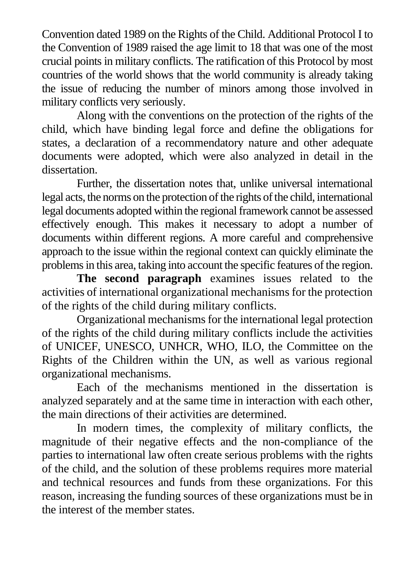Convention dated 1989 on the Rights of the Child. Additional Protocol I to the Convention of 1989 raised the age limit to 18 that was one of the most crucial points in military conflicts. The ratification of this Protocol by most countries of the world shows that the world community is already taking the issue of reducing the number of minors among those involved in military conflicts very seriously.

Along with the conventions on the protection of the rights of the child, which have binding legal force and define the obligations for states, a declaration of a recommendatory nature and other adequate documents were adopted, which were also analyzed in detail in the dissertation.

Further, the dissertation notes that, unlike universal international legal acts, the norms on the protection of the rights of the child, international legal documents adopted within the regional framework cannot be assessed effectively enough. This makes it necessary to adopt a number of documents within different regions. A more careful and comprehensive approach to the issue within the regional context can quickly eliminate the problems in this area, taking into account the specific features of the region.

**The second paragraph** examines issues related to the activities of international organizational mechanisms for the protection of the rights of the child during military conflicts.

Organizational mechanisms for the international legal protection of the rights of the child during military conflicts include the activities of UNICEF, UNESCO, UNHCR, WHO, ILO, the Committee on the Rights of the Children within the UN, as well as various regional organizational mechanisms.

Each of the mechanisms mentioned in the dissertation is analyzed separately and at the same time in interaction with each other, the main directions of their activities are determined.

In modern times, the complexity of military conflicts, the magnitude of their negative effects and the non-compliance of the parties to international law often create serious problems with the rights of the child, and the solution of these problems requires more material and technical resources and funds from these organizations. For this reason, increasing the funding sources of these organizations must be in the interest of the member states.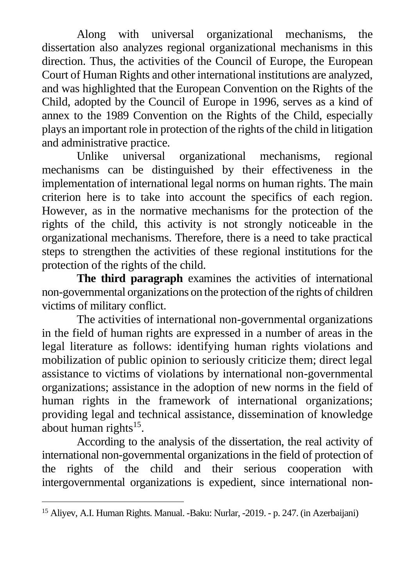Along with universal organizational mechanisms, the dissertation also analyzes regional organizational mechanisms in this direction. Thus, the activities of the Council of Europe, the European Court of Human Rights and other international institutions are analyzed, and was highlighted that the European Convention on the Rights of the Child, adopted by the Council of Europe in 1996, serves as a kind of annex to the 1989 Convention on the Rights of the Child, especially plays an important role in protection of the rights of the child in litigation and administrative practice.

Unlike universal organizational mechanisms, regional mechanisms can be distinguished by their effectiveness in the implementation of international legal norms on human rights. The main criterion here is to take into account the specifics of each region. However, as in the normative mechanisms for the protection of the rights of the child, this activity is not strongly noticeable in the organizational mechanisms. Therefore, there is a need to take practical steps to strengthen the activities of these regional institutions for the protection of the rights of the child.

**The third paragraph** examines the activities of international non-governmental organizations on the protection of the rights of children victims of military conflict.

The activities of international non-governmental organizations in the field of human rights are expressed in a number of areas in the legal literature as follows: identifying human rights violations and mobilization of public opinion to seriously criticize them; direct legal assistance to victims of violations by international non-governmental organizations; assistance in the adoption of new norms in the field of human rights in the framework of international organizations; providing legal and technical assistance, dissemination of knowledge about human rights $15$ .

According to the analysis of the dissertation, the real activity of international non-governmental organizations in the field of protection of the rights of the child and their serious cooperation with intergovernmental organizations is expedient, since international non-

<sup>15</sup> Aliyev, A.I. Human Rights. Manual. -Baku: Nurlar, -2019. - p. 247. (in Azerbaijani)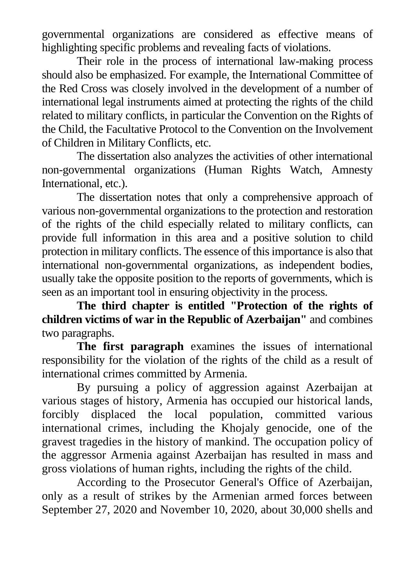governmental organizations are considered as effective means of highlighting specific problems and revealing facts of violations.

Their role in the process of international law-making process should also be emphasized. For example, the International Committee of the Red Cross was closely involved in the development of a number of international legal instruments aimed at protecting the rights of the child related to military conflicts, in particular the Convention on the Rights of the Child, the Facultative Protocol to the Convention on the Involvement of Children in Military Conflicts, etc.

The dissertation also analyzes the activities of other international non-governmental organizations (Human Rights Watch, Amnesty International, etc.).

The dissertation notes that only a comprehensive approach of various non-governmental organizations to the protection and restoration of the rights of the child especially related to military conflicts, can provide full information in this area and a positive solution to child protection in military conflicts. The essence of this importance is also that international non-governmental organizations, as independent bodies, usually take the opposite position to the reports of governments, which is seen as an important tool in ensuring objectivity in the process.

**The third chapter is entitled "Protection of the rights of children victims of war in the Republic of Azerbaijan"** and combines two paragraphs.

**The first paragraph** examines the issues of international responsibility for the violation of the rights of the child as a result of international crimes committed by Armenia.

By pursuing a policy of aggression against Azerbaijan at various stages of history, Armenia has occupied our historical lands, forcibly displaced the local population, committed various international crimes, including the Khojaly genocide, one of the gravest tragedies in the history of mankind. The occupation policy of the aggressor Armenia against Azerbaijan has resulted in mass and gross violations of human rights, including the rights of the child.

According to the Prosecutor General's Office of Azerbaijan, only as a result of strikes by the Armenian armed forces between September 27, 2020 and November 10, 2020, about 30,000 shells and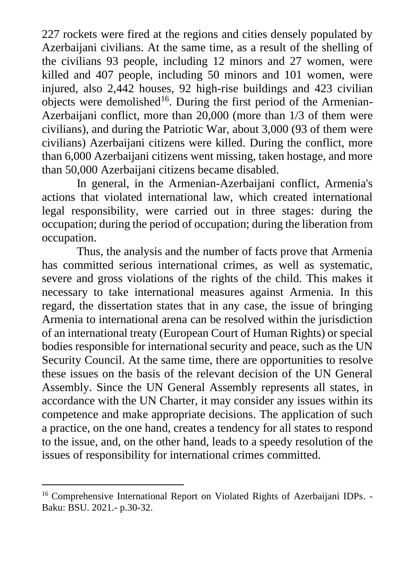227 rockets were fired at the regions and cities densely populated by Azerbaijani civilians. At the same time, as a result of the shelling of the civilians 93 people, including 12 minors and 27 women, were killed and 407 people, including 50 minors and 101 women, were injured, also 2,442 houses, 92 high-rise buildings and 423 civilian objects were demolished<sup>16</sup>. During the first period of the Armenian-Azerbaijani conflict, more than 20,000 (more than 1/3 of them were civilians), and during the Patriotic War, about 3,000 (93 of them were civilians) Azerbaijani citizens were killed. During the conflict, more than 6,000 Azerbaijani citizens went missing, taken hostage, and more than 50,000 Azerbaijani citizens became disabled.

In general, in the Armenian-Azerbaijani conflict, Armenia's actions that violated international law, which created international legal responsibility, were carried out in three stages: during the occupation; during the period of occupation; during the liberation from occupation.

Thus, the analysis and the number of facts prove that Armenia has committed serious international crimes, as well as systematic, severe and gross violations of the rights of the child. This makes it necessary to take international measures against Armenia. In this regard, the dissertation states that in any case, the issue of bringing Armenia to international arena can be resolved within the jurisdiction of an international treaty (European Court of Human Rights) or special bodies responsible for international security and peace, such as the UN Security Council. At the same time, there are opportunities to resolve these issues on the basis of the relevant decision of the UN General Assembly. Since the UN General Assembly represents all states, in accordance with the UN Charter, it may consider any issues within its competence and make appropriate decisions. The application of such a practice, on the one hand, creates a tendency for all states to respond to the issue, and, on the other hand, leads to a speedy resolution of the issues of responsibility for international crimes committed.

<sup>&</sup>lt;sup>16</sup> Comprehensive International Report on Violated Rights of Azerbaijani IDPs. -Baku: BSU. 2021.- p.30-32.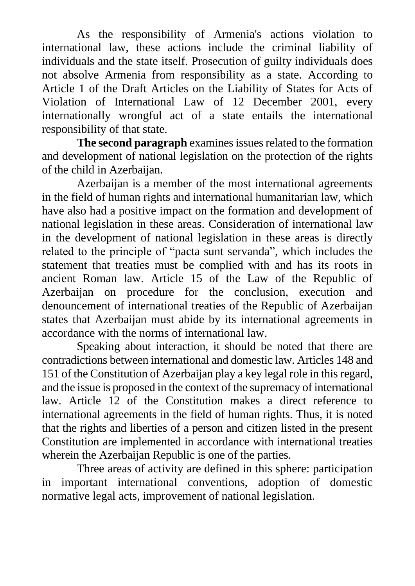As the responsibility of Armenia's actions violation to international law, these actions include the criminal liability of individuals and the state itself. Prosecution of guilty individuals does not absolve Armenia from responsibility as a state. According to Article 1 of the Draft Articles on the Liability of States for Acts of Violation of International Law of 12 December 2001, every internationally wrongful act of a state entails the international responsibility of that state.

**The second paragraph** examines issues related to the formation and development of national legislation on the protection of the rights of the child in Azerbaijan.

Azerbaijan is a member of the most international agreements in the field of human rights and international humanitarian law, which have also had a positive impact on the formation and development of national legislation in these areas. Consideration of international law in the development of national legislation in these areas is directly related to the principle of "pacta sunt servanda", which includes the statement that treaties must be complied with and has its roots in ancient Roman law. Article 15 of the Law of the Republic of Azerbaijan on procedure for the conclusion, execution and denouncement of international treaties of the Republic of Azerbaijan states that Azerbaijan must abide by its international agreements in accordance with the norms of international law.

Speaking about interaction, it should be noted that there are contradictions between international and domestic law. Articles 148 and 151 of the Constitution of Azerbaijan play a key legal role in this regard, and the issue is proposed in the context of the supremacy of international law. Article 12 of the Constitution makes a direct reference to international agreements in the field of human rights. Thus, it is noted that the rights and liberties of a person and citizen listed in the present Constitution are implemented in accordance with international treaties wherein the Azerbaijan Republic is one of the parties.

Three areas of activity are defined in this sphere: participation in important international conventions, adoption of domestic normative legal acts, improvement of national legislation.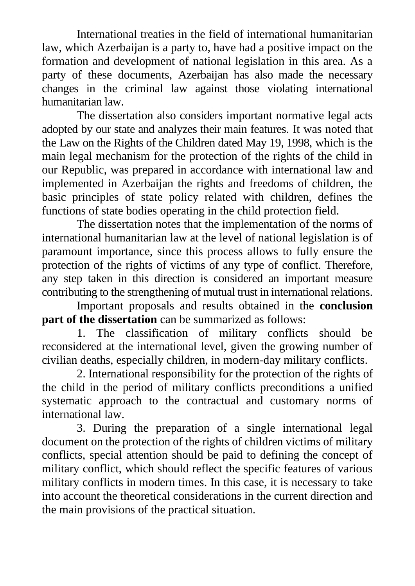International treaties in the field of international humanitarian law, which Azerbaijan is a party to, have had a positive impact on the formation and development of national legislation in this area. As a party of these documents, Azerbaijan has also made the necessary changes in the criminal law against those violating international humanitarian law.

The dissertation also considers important normative legal acts adopted by our state and analyzes their main features. It was noted that the Law on the Rights of the Children dated May 19, 1998, which is the main legal mechanism for the protection of the rights of the child in our Republic, was prepared in accordance with international law and implemented in Azerbaijan the rights and freedoms of children, the basic principles of state policy related with children, defines the functions of state bodies operating in the child protection field.

The dissertation notes that the implementation of the norms of international humanitarian law at the level of national legislation is of paramount importance, since this process allows to fully ensure the protection of the rights of victims of any type of conflict. Therefore, any step taken in this direction is considered an important measure contributing to the strengthening of mutual trust in international relations.

Important proposals and results obtained in the **conclusion part of the dissertation** can be summarized as follows:

1. The classification of military conflicts should be reconsidered at the international level, given the growing number of civilian deaths, especially children, in modern-day military conflicts.

2. International responsibility for the protection of the rights of the child in the period of military conflicts preconditions a unified systematic approach to the contractual and customary norms of international law.

3. During the preparation of a single international legal document on the protection of the rights of children victims of military conflicts, special attention should be paid to defining the concept of military conflict, which should reflect the specific features of various military conflicts in modern times. In this case, it is necessary to take into account the theoretical considerations in the current direction and the main provisions of the practical situation.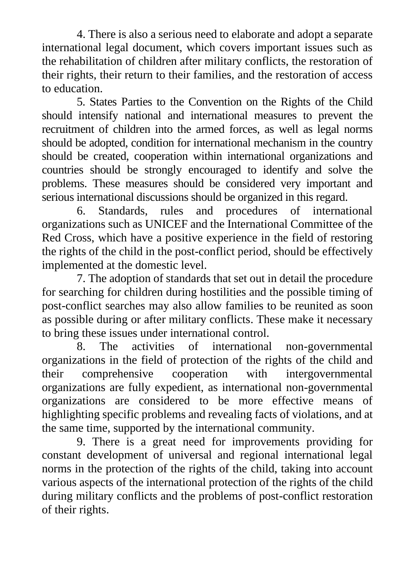4. There is also a serious need to elaborate and adopt a separate international legal document, which covers important issues such as the rehabilitation of children after military conflicts, the restoration of their rights, their return to their families, and the restoration of access to education.

5. States Parties to the Convention on the Rights of the Child should intensify national and international measures to prevent the recruitment of children into the armed forces, as well as legal norms should be adopted, condition for international mechanism in the country should be created, cooperation within international organizations and countries should be strongly encouraged to identify and solve the problems. These measures should be considered very important and serious international discussions should be organized in this regard.

6. Standards, rules and procedures of international organizations such as UNICEF and the International Committee of the Red Cross, which have a positive experience in the field of restoring the rights of the child in the post-conflict period, should be effectively implemented at the domestic level.

7. The adoption of standards that set out in detail the procedure for searching for children during hostilities and the possible timing of post-conflict searches may also allow families to be reunited as soon as possible during or after military conflicts. These make it necessary to bring these issues under international control.

8. The activities of international non-governmental organizations in the field of protection of the rights of the child and their comprehensive cooperation with intergovernmental organizations are fully expedient, as international non-governmental organizations are considered to be more effective means of highlighting specific problems and revealing facts of violations, and at the same time, supported by the international community.

9. There is a great need for improvements providing for constant development of universal and regional international legal norms in the protection of the rights of the child, taking into account various aspects of the international protection of the rights of the child during military conflicts and the problems of post-conflict restoration of their rights.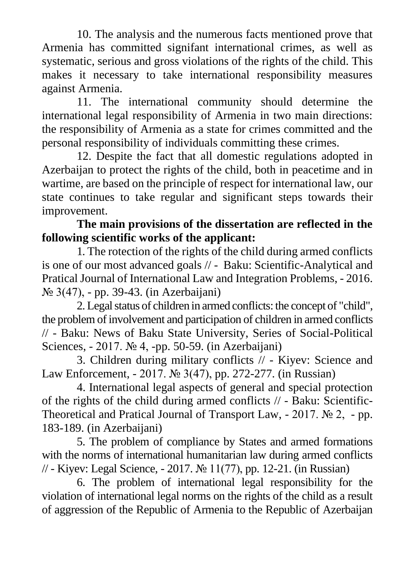10. The analysis and the numerous facts mentioned prove that Armenia has committed signifant international crimes, as well as systematic, serious and gross violations of the rights of the child. This makes it necessary to take international responsibility measures against Armenia.

11. The international community should determine the international legal responsibility of Armenia in two main directions: the responsibility of Armenia as a state for crimes committed and the personal responsibility of individuals committing these crimes.

12. Despite the fact that all domestic regulations adopted in Azerbaijan to protect the rights of the child, both in peacetime and in wartime, are based on the principle of respect for international law, our state continues to take regular and significant steps towards their improvement.

### **The main provisions of the dissertation are reflected in the following scientific works of the applicant:**

1. The rotection of the rights of the child during armed conflicts is one of our most advanced goals // - Baku: Scientific-Analytical and Pratical Journal of International Law and Integration Problems, - 2016. № 3(47), - pp. 39-43. (in Azerbaijani)

2. Legal status of children in armed conflicts: the concept of "child", the problem of involvement and participation of children in armed conflicts // - Baku: News of Baku State University, Series of Social-Political Sciences, - 2017. № 4, -pp. 50-59. (in Azerbaijani)

3. Children during military conflicts // - Kiyev: Science and Law Enforcement, - 2017. № 3(47), pp. 272-277. (in Russian)

4. International legal aspects of general and special protection of the rights of the child during armed conflicts // - Baku: Scientific-Theoretical and Pratical Journal of Transport Law, - 2017. № 2, - pp. 183-189. (in Azerbaijani)

5. The problem of compliance by States and armed formations with the norms of international humanitarian law during armed conflicts // - Kiyev: Legal Science, - 2017. № 11(77), pp. 12-21. (in Russian)

6. The problem of international legal responsibility for the violation of international legal norms on the rights of the child as a result of aggression of the Republic of Armenia to the Republic of Azerbaijan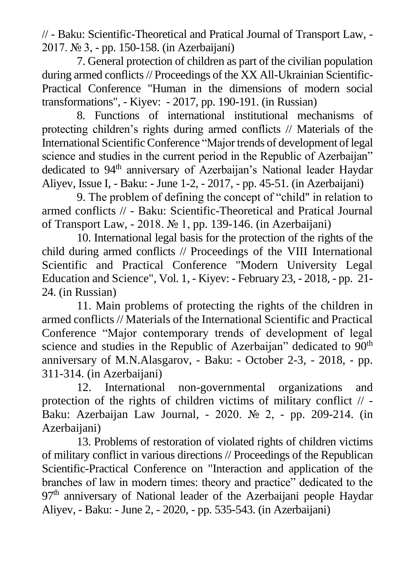// - Baku: Scientific-Theoretical and Pratical Journal of Transport Law, - 2017. № 3, - pp. 150-158. (in Azerbaijani)

7. General protection of children as part of the civilian population during armed conflicts // Proceedings of the XX All-Ukrainian Scientific-Practical Conference "Human in the dimensions of modern social transformations", - Kiyev: - 2017, pp. 190-191. (in Russian)

8. Functions of international institutional mechanisms of protecting children's rights during armed conflicts // Materials of the International Scientific Conference "Major trends of development of legal science and studies in the current period in the Republic of Azerbaijan" dedicated to 94<sup>th</sup> anniversary of Azerbaijan's National leader Haydar Aliyev, Issue I, - Baku: - June 1-2, - 2017, - pp. 45-51. (in Azerbaijani)

9. The problem of defining the concept of "child" in relation to armed conflicts // - Baku: Scientific-Theoretical and Pratical Journal of Transport Law, - 2018. № 1, pp. 139-146. (in Azerbaijani)

10. International legal basis for the protection of the rights of the child during armed conflicts // Proceedings of the VIII International Scientific and Practical Conference "Modern University Legal Education and Science", Vol. 1, - Kiyev: - February 23, - 2018, - pp. 21- 24. (in Russian)

11. Main problems of protecting the rights of the children in armed conflicts // Materials of the International Scientific and Practical Conference "Major contemporary trends of development of legal science and studies in the Republic of Azerbaijan" dedicated to 90<sup>th</sup> anniversary of M.N.Alasgarov, - Baku: - October 2-3, - 2018, - pp. 311-314. (in Azerbaijani)

12. International non-governmental organizations and protection of the rights of children victims of military conflict // - Baku: Azerbaijan Law Journal, - 2020. № 2, - pp. 209-214. (in Azerbaijani)

13. Problems of restoration of violated rights of children victims of military conflict in various directions // Proceedings of the Republican Scientific-Practical Conference on "Interaction and application of the branches of law in modern times: theory and practice" dedicated to the  $97<sup>th</sup>$  anniversary of National leader of the Azerbaijani people Haydar Aliyev, - Baku: - June 2, - 2020, - pp. 535-543. (in Azerbaijani)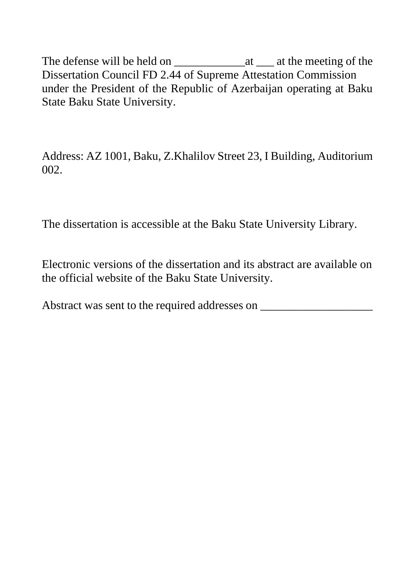The defense will be held on \_\_\_\_\_\_\_\_\_\_\_\_at \_\_\_ at the meeting of the Dissertation Council FD 2.44 of Supreme Attestation Commission under the President of the Republic of Azerbaijan operating at Baku State Baku State University.

Address: AZ 1001, Baku, Z.Khalilov Street 23, I Building, Auditorium 002.

The dissertation is accessible at the Baku State University Library.

Electronic versions of the dissertation and its abstract are available on the official website of the Baku State University.

Abstract was sent to the required addresses on